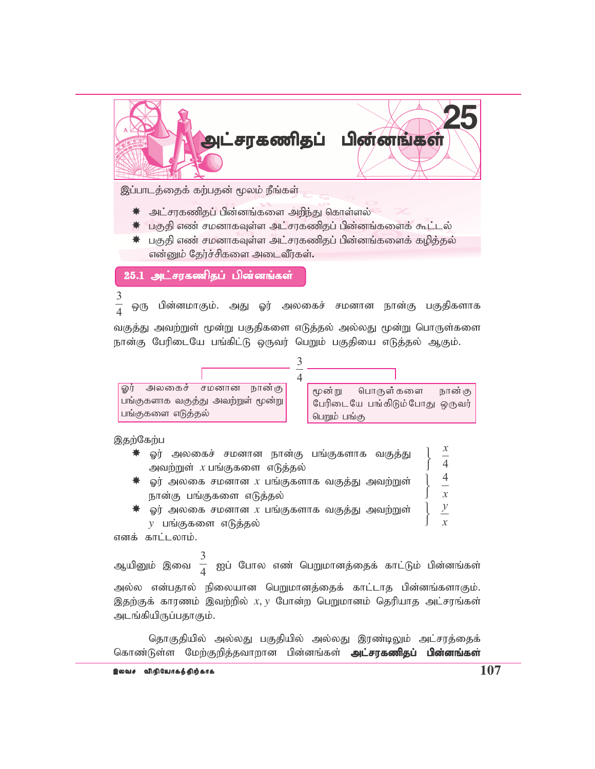

இப்பாடத்தைக் கற்பதன் மூலம் நீங்கள்

- $\,$  அட்சரகணிதப் பின்னங்களை அறிந்து கொள்ளல்
- \* பகுதி எண் சமனாகவுள்ள அட்சரகணிதப் பின்னங்களைக் கூட்டல்
- $\,$ ் பகுதி எண் சமனாகவுள்ள அட்சரகணிதப் பின்னங்களைக் கழித்தல் என்னும் தேர்ச்சிகளை அடைவீர்கள்.

25.1 அட்சரகணிதப் பின்னங்கள்

3 4 ஒரு பின்னமாகும். அது ஓர் அலகைச் சமனான நான்கு பகுதிகளாக

வகுத்து அவற்றுள் மூன்று பகுதிகளை எடுத்தல் அல்லது மூன்று பொருள்களை நான்கு பேரிடையே பங்கிட்டு ஒருவர் பெறும் பகுதியை எடுத்தல் ஆகும்.



இதற்கேற்ப

| ☀ ஓர் அலகைச் சமனான நான்கு பங்குகளாக வகுத்து                                    |  |
|--------------------------------------------------------------------------------|--|
| அவற்றுள் $x$ பங்குகளை எடுத்தல்                                                 |  |
| $\,$ $\rm \blacktriangleright\,$ ஓர் அலகை சமனான $x$ பங்குகளாக வகுத்து அவற்றுள் |  |
| நான்கு பங்குகளை எடுத்தல்                                                       |  |
| வர் அலகை சமனான x பங்குகளாக வகுக்கட அவற்றுள்                                    |  |

ஓர் அலகை சமனான  $x$  பங்குகளாக வகுத்து அவற்றுள் *y* பங்குகளை எடுத்தல்  $\overline{1}$  $\left\{ \right.$ ſ

எனக் காட்டலாம்.

ஆயினும் இவை 3  $\frac{1}{4}$  ஐப் போல எண் பெறுமானத்தைக் காட்டும் பின்னங்கள் அல்ல என்பதால் நிலையான பெறுமானத்தைக் காட்டாத பின்னங்களாகும். இதற்குக் காரணம் இவற்றில்  $x, y$  போன்ற பெறுமானம் தெரியாத அட்சரங்கள் அடங்கியிருப்பதாகும்.

தொகுதியில் அல்லது பகுதியில் அல்லது இரண்டிலும் அட்சரத்தைக் கொண்டுள்ள மேற்குறித்தவாறான பின்னங்கள் **அட்சரகணிதப் பின்னங்கள்** 

*x*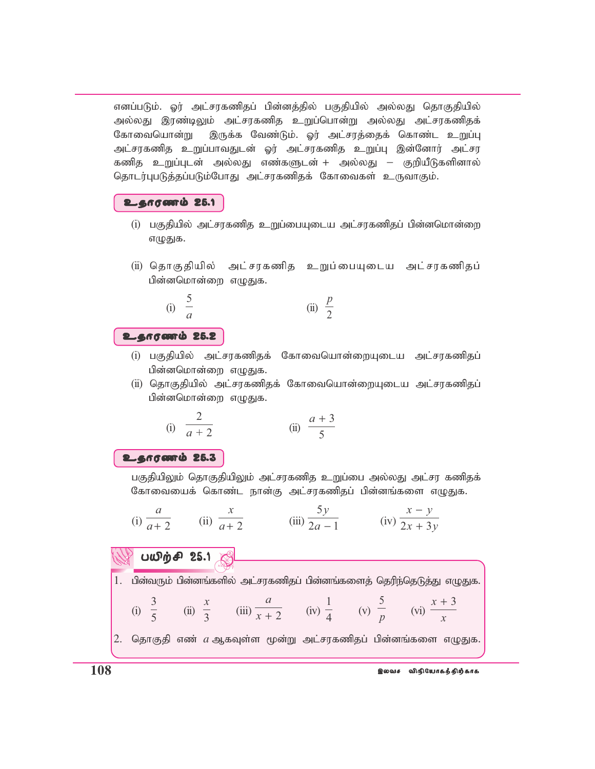எனப்படும். ஓர் அட்சரகணிதப் பின்னத்தில் பகுதியில் அல்லது தொகுதியில் அல்லது இரண்டிலும் அட்சரகணித உறுப்பொன்று அல்லது அட்சரகணிதக் கோவையொன்று இருக்க வேண்டும். ஓர் அட்சரத்தைக் கொண்ட உறுப்பு அட்சரகணித உறுப்பாவதுடன் ஓர் அட்சரகணித உறுப்பு இன்னோர் அட்சர ்கணித உறுப்புடன் அல்லது எண்களுடன் + அல்லது − குறியீடுகளினால் தொடர்புபடுத்தப்படும்போது அட்சரகணிதக் கோவைகள் உருவாகும்.

## உதாரணம் 25.1

- (i) பகுதியில் அட்சரகணித உறுப்பையுடைய அட்சரகணிதப் பின்னமொன்றை எழுதுக.
- (ii) தொகுதியில் அட்சரகணித உறுப்பையுடைய அட்சரகணிதப் பின்னமொன்றை எமுதுக.

(i) 
$$
\frac{5}{a}
$$
 (ii)  $\frac{p}{2}$ 

## உதாரணம் 25.2

- (i) பகுதியில் அட்சாகணிதக் கோவையொன்றையுடைய அட்சாகணிதப் பின்னமொன்றை எழுதுக.
- (ii) தொகுதியில் அட்சரகணிதக் கோவையொன்றையுடைய அட்சரகணிதப் பின்னமொன்றை எழுதுக.

(i) 
$$
\frac{2}{a+2}
$$
 (ii)  $\frac{a+3}{5}$ 

## உதாரணம் 25.3

பகுதியிலும் தொகுதியிலும் அட்சரகணித உறுப்பை அல்லது அட்சர கணிதக் கோவையைக் கொண்ட நான்கு அட்சரகணிதப் பின்னங்களை எழுதுக.

(i) 
$$
\frac{a}{a+2}
$$
 (ii)  $\frac{x}{a+2}$  (iii)  $\frac{5y}{2a-1}$  (iv)  $\frac{x-y}{2x+3y}$ 

## $U\omega$  $\dot{\theta}$  $\theta$  25.1

*x*

3

1. பின்வரும் பின்னங்களில் அட்சரகணிதப் பின்னங்களைத் தெரிந்தெடுத்து எழுதுக.

1

5

*a*

(i) 5 (ii) 3 (iii)  $\overline{x+2}$  (iv) 4 (v) *p* (vi) *x* 2. தொகுதி எண்  $a$  ஆகவுள்ள மூன்று அட்சரகணிதப் பின்னங்களை எழுதுக.

*x*

+ 3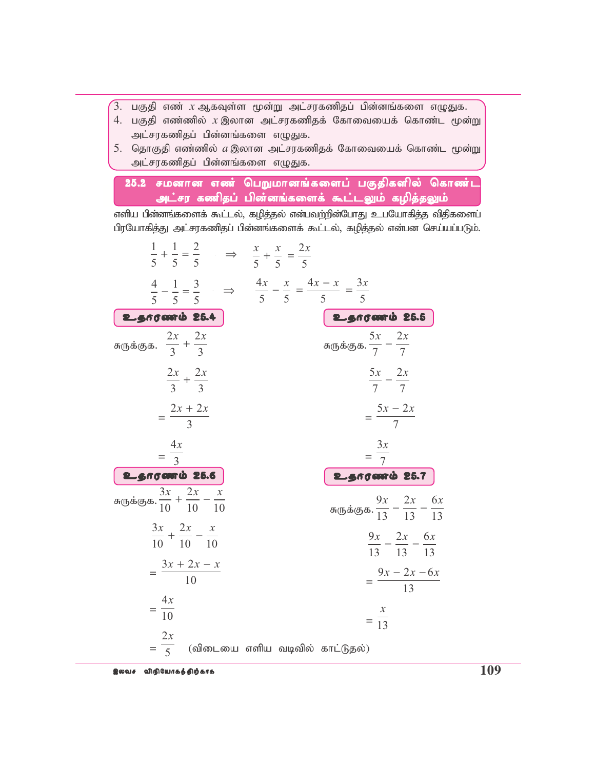- $\hat{\mathcal{C}}$ 3. பகுதி எண்  $x$  ஆகவுள்ள மூன்று அட்சரகணிதப் பின்னங்களை எழுதுக.
- 4. பகுதி எண்ணில்  $x$  இலான அட்சரகணிதக் கோவையைக் கொண்ட மூன்று அட்சரகணிதப் பின்னங்களை எழுதுக.
- 5. தொகுதி எண்ணில்  $a$  இலான அட்சரகணிதக் கோவையைக் கொண்ட மூன்று அட்சரகணிதப் பின்னங்களை எழுதுக.

25.2 சமனான எண் பெறுமானங்களைப் பகுதிகளில் கொண்ட அட்சர கணிதப் பின்னங்களைக் கூட்டலும் கழித்தலும்

எளிய பின்னங்களைக் கூட்டல், கழித்தல் என்பவற்றின்போது உபயோகித்த விதிகளைப் பிரயோகித்து அட்சரகணிதப் பின்னங்களைக் கூட்டல், கழித்தல் என்பன செய்யப்படும்.

| $\frac{1}{5} + \frac{1}{5} = \frac{2}{5}$ $\Rightarrow$ $\frac{x}{5} + \frac{x}{5} = \frac{2x}{5}$ |                                                                                                                        |
|----------------------------------------------------------------------------------------------------|------------------------------------------------------------------------------------------------------------------------|
|                                                                                                    | $\frac{4}{5} - \frac{1}{5} = \frac{3}{5}$ $\Rightarrow$ $\frac{4x}{5} - \frac{x}{5} = \frac{4x - x}{5} = \frac{3x}{5}$ |
| உதாரணம் 25.4                                                                                       | உதாரணம் 25.5                                                                                                           |
| சுருக்குக. $\frac{2x}{3} + \frac{2x}{3}$                                                           | சுருக்குக. $\frac{5x}{7} - \frac{2x}{7}$                                                                               |
| $\frac{2x}{3} + \frac{2x}{3}$                                                                      | $\frac{5x}{7} - \frac{2x}{7}$                                                                                          |
| $=\frac{2x+2x}{3}$                                                                                 | $=\frac{5x-2x}{7}$                                                                                                     |
| $=\frac{4x}{3}$                                                                                    | $=\frac{3x}{7}$                                                                                                        |
| உதாரணம் 25.6                                                                                       | உதாரணம் 25.7                                                                                                           |
| சுருக்குக. $\frac{3x}{10} + \frac{2x}{10} - \frac{x}{10}$                                          | சுருக்குக. $\frac{9x}{13} - \frac{2x}{13} - \frac{6x}{13}$                                                             |
| $\frac{3x}{10} + \frac{2x}{10} - \frac{x}{10}$                                                     | $\frac{9x}{13} - \frac{2x}{13} - \frac{6x}{13}$                                                                        |
| $=\frac{3x+2x-x}{10}$                                                                              | $=\frac{9x-2x-6x}{13}$                                                                                                 |
| $=\frac{4x}{10}$                                                                                   | $=\frac{x}{13}$                                                                                                        |
| $=\frac{2x}{5}$                                                                                    | (விடையை எளிய வடிவில் காட்டுதல்)                                                                                        |

;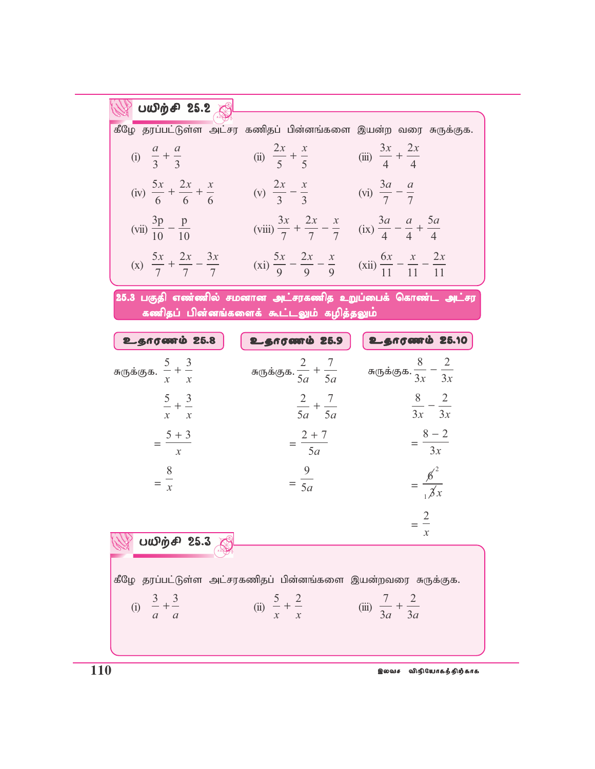| பயிற்சி 25.2                                                   |                                                                                                                                                        |                                          |  |  |  |
|----------------------------------------------------------------|--------------------------------------------------------------------------------------------------------------------------------------------------------|------------------------------------------|--|--|--|
| கீழே தரப்பட்டுள்ள அட்சர கணிதப் பின்னங்களை இயன்ற வரை சுருக்குக. |                                                                                                                                                        |                                          |  |  |  |
| (i) $\frac{a}{3} + \frac{a}{3}$                                | (ii) $\frac{2x}{5} + \frac{x}{5}$                                                                                                                      | (iii) $\frac{3x}{4} + \frac{2x}{4}$      |  |  |  |
| (iv) $\frac{5x}{6} + \frac{2x}{6} + \frac{x}{6}$               | (v) $\frac{2x}{3} - \frac{x}{3}$ (vi) $\frac{3a}{7} - \frac{a}{7}$                                                                                     |                                          |  |  |  |
| (vii) $\frac{3p}{10} - \frac{p}{10}$                           | (viii) $\frac{3x}{7} + \frac{2x}{7} - \frac{x}{7}$ (ix) $\frac{3a}{4} - \frac{a}{4} + \frac{5a}{4}$                                                    |                                          |  |  |  |
|                                                                | (x) $\frac{5x}{7} + \frac{2x}{7} - \frac{3x}{7}$ (xi) $\frac{5x}{9} - \frac{2x}{9} - \frac{x}{9}$ (xii) $\frac{6x}{11} - \frac{x}{11} - \frac{2x}{11}$ |                                          |  |  |  |
| 25.3 பகுதி எண்ணில் சமனான அட்சரகணித உறுப்பைக் கொண்ட அட்சர       | கணிதப் பின்னங்களைக் கூட்டலும் கழித்தலும்                                                                                                               |                                          |  |  |  |
| உதாரணம் 25.8                                                   | உதாரணம் 25.9                                                                                                                                           | உதாரணம் 25.10                            |  |  |  |
| சுருக்குக. $\frac{5}{x} + \frac{3}{x}$                         | சுருக்குக. $\frac{2}{5a} + \frac{7}{5a}$                                                                                                               | சுருக்குக. $\frac{8}{3x} - \frac{2}{3x}$ |  |  |  |
| $rac{5}{-} + \frac{3}{-}$<br>$x \quad x$                       | $\frac{2}{5a} + \frac{7}{5a}$                                                                                                                          | $\frac{8}{3x} - \frac{2}{3x}$            |  |  |  |
| $=\frac{5+3}{x}$                                               | $=\frac{2+7}{5a}$                                                                                                                                      | $=\frac{8-2}{3x}$                        |  |  |  |
| $=\frac{8}{x}$                                                 | $=\frac{9}{5a}$                                                                                                                                        | $=\frac{\cancel{6}^2}{\cancel{3}x}$      |  |  |  |
|                                                                |                                                                                                                                                        | $=\frac{2}{x}$<br>$\mathcal{X}$          |  |  |  |
| பயிற்சி 25.3 கு                                                |                                                                                                                                                        |                                          |  |  |  |
| கீழே தரப்பட்டுள்ள அட்சரகணிதப் பின்னங்களை இயன்றவரை சுருக்குக.   |                                                                                                                                                        |                                          |  |  |  |
| (i) $\frac{3}{a} + \frac{3}{a}$                                | (ii) $\frac{5}{x} + \frac{2}{x}$                                                                                                                       | (iii) $\frac{7}{3a} + \frac{2}{3a}$      |  |  |  |
|                                                                |                                                                                                                                                        |                                          |  |  |  |

**110** ,ytr tpepNahfj;jpw;fhf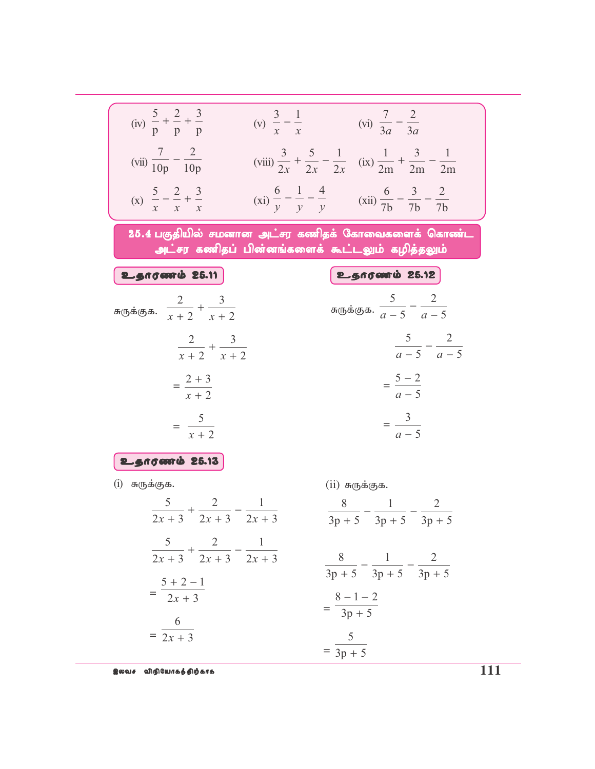$$
(iv) \frac{5}{p} + \frac{2}{p} + \frac{3}{p} \t\t\t (v) \frac{3}{x} - \frac{1}{x} \t\t\t (vi) \frac{7}{3a} - \frac{2}{3a}
$$
  
\n
$$
(vii) \frac{7}{10p} - \frac{2}{10p} \t\t (viii) \frac{3}{2x} + \frac{5}{2x} - \frac{1}{2x} \t\t (ix) \frac{1}{2m} + \frac{3}{2m} - \frac{1}{2m}
$$
  
\n
$$
(x) \frac{5}{x} - \frac{2}{x} + \frac{3}{x} \t\t (xi) \frac{6}{y} - \frac{1}{y} - \frac{4}{y} \t\t (xi) \frac{1}{7b} - \frac{3}{7b} - \frac{2}{7b}
$$
  
\n**25.4** L( $\frac{2}{3}$ )**ln 25.19 26.10 26.11 27.1 36.10 38.10 49.1 39.1 41.10 30.10 41.11 43.11 45.12 46.13 47.1 48.10 49.10 41.11 45.12 46.13 47.12 47.13 48.14 49.15 41.16 45.17 46.19.10 47.11 48.11 49.10 41.11 41.12 41.13 41.14 41.15 41.16 41.17 41.19 41.10 41.11 41.11 41.12**

 $\hat{\mathbf{g}}$ லவச விநியோகத்திற்காக  $111$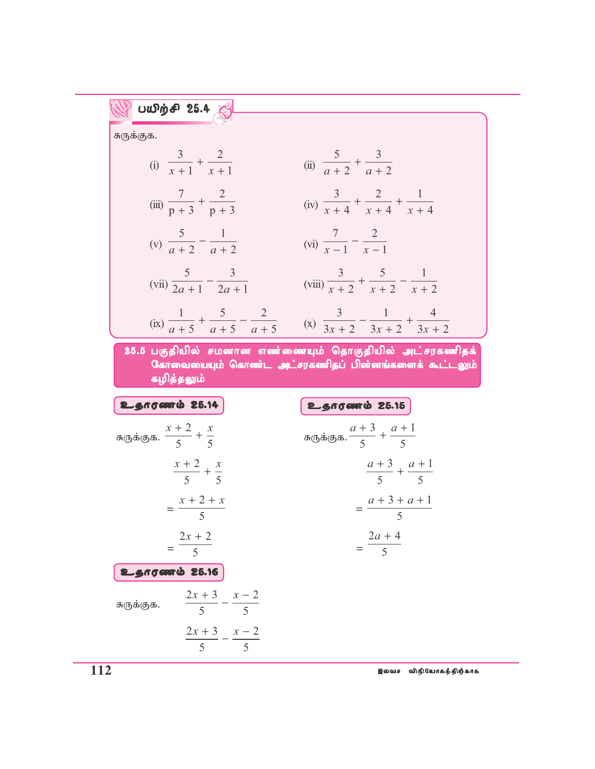| UUDip 4   | 25.4                                               |
|-----------|----------------------------------------------------|
| σπ(55.65) |                                                    |
| σ(65.65)  |                                                    |
| 0         | $\frac{3}{x+1} + \frac{2}{x+1}$                    |
| 0         | $\frac{7}{x+1} + \frac{2}{x+1}$                    |
| 0         | $\frac{5}{x+2} + \frac{1}{x+3}$                    |
| 0         | $\frac{5}{x+4} + \frac{2}{x+4} + \frac{1}{x+4}$    |
| 0         | $\frac{5}{x+2} - \frac{1}{a+2}$                    |
| 0         | $\frac{5}{x-1} - \frac{3}{x-1}$                    |
| 0         | $\frac{7}{x-1} - \frac{2}{x-1}$                    |
| 0         | $\frac{1}{x+2} + \frac{5}{x+2} - \frac{2}{x+2}$    |
| 25.5      | $\frac{1}{x+5} + \frac{5}{a+5} - \frac{2}{a+5}$    |
| 0         | $\frac{3}{3x+2} - \frac{1}{3x+2} + \frac{4}{3x+2}$ |
| 25.6      | $\frac{1}{35} + \frac{1}{35} - \frac{2}{35}$       |
| 0         | $\frac{1}{35} + \frac{1}{35} - \frac{2}{35}$       |
| 0         | $\frac{1}{35} + \frac{1}{35} + \frac{1}{5}$        |
| 0         | $\frac{1}{35} + \frac{1}{35}$                      |
| 0         | $\frac{1}{35} + \frac{1}{5}$                       |
| 0         |                                                    |

**112** ,ytr tpepNahfj;jpw;fhf